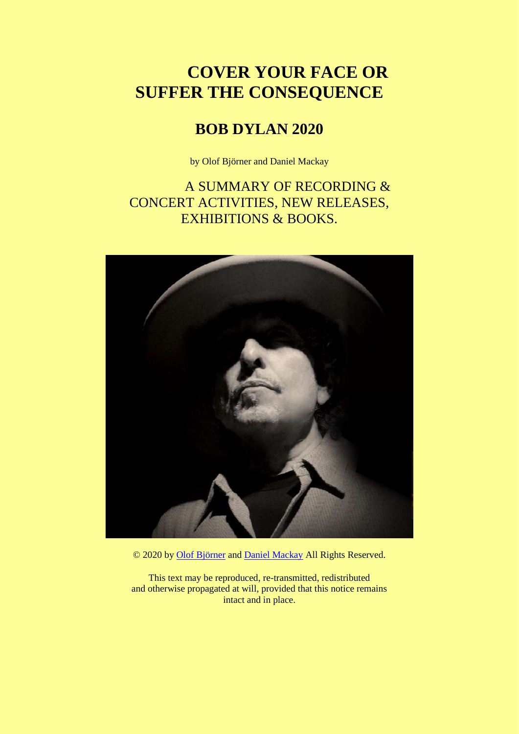# **COVER YOUR FACE OR SUFFER THE CONSEQUENCE**

# **BOB DYLAN 2020**

by Olof Björner and Daniel Mackay

A SUMMARY OF RECORDING & CONCERT ACTIVITIES, NEW RELEASES, EXHIBITIONS & BOOKS.



© 2020 by [Olof Björner](https://www.bjorner.com/me.htm) and [Daniel Mackay](https://www.bjorner.com/Dan.htm) All Rights Reserved.

This text may be reproduced, re-transmitted, redistributed and otherwise propagated at will, provided that this notice remains intact and in place.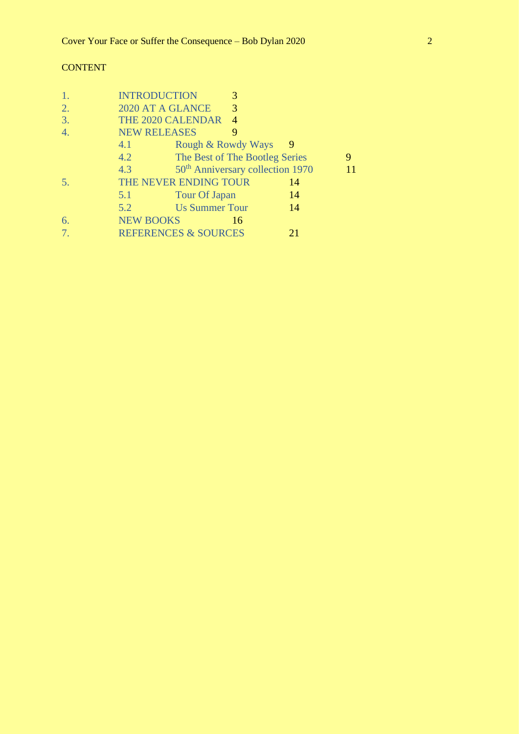## **CONTENT**

| 1.               | <b>INTRODUCTION</b> |                                 | 3                                            |    |   |
|------------------|---------------------|---------------------------------|----------------------------------------------|----|---|
| 2.               | 2020 AT A GLANCE    |                                 | 3                                            |    |   |
| 3.               | THE 2020 CALENDAR   |                                 | 4                                            |    |   |
| $\overline{4}$ . | <b>NEW RELEASES</b> |                                 | 9                                            |    |   |
|                  | 4.1                 |                                 | Rough & Rowdy Ways                           | 9  |   |
|                  | 4.2                 |                                 | The Best of The Bootleg Series               |    | 9 |
|                  | 4.3                 |                                 | 50 <sup>th</sup> Anniversary collection 1970 |    |   |
| 5.               |                     | THE NEVER ENDING TOUR           |                                              | 14 |   |
|                  | 5.1                 | Tour Of Japan                   |                                              | 14 |   |
|                  | 5.2                 | <b>Us Summer Tour</b>           |                                              | 14 |   |
| 6.               | <b>NEW BOOKS</b>    |                                 | 16                                           |    |   |
| 7.               |                     | <b>REFERENCES &amp; SOURCES</b> |                                              | 21 |   |
|                  |                     |                                 |                                              |    |   |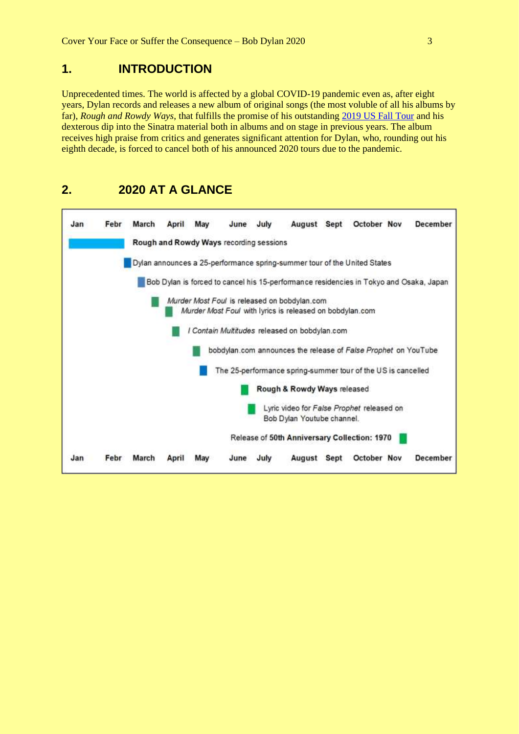## <span id="page-2-0"></span>**1. INTRODUCTION**

Unprecedented times. The world is affected by a global COVID-19 pandemic even as, after eight years, Dylan records and releases a new album of original songs (the most voluble of all his albums by far), *Rough and Rowdy Ways*, that fulfills the promise of his outstanding [2019 US Fall Tour](https://www.bjorner.com/DSN39980%20-%202019%20US%20Fall%20Tour.htm) and his dexterous dip into the Sinatra material both in albums and on stage in previous years. The album receives high praise from critics and generates significant attention for Dylan, who, rounding out his eighth decade, is forced to cancel both of his announced 2020 tours due to the pandemic.

## <span id="page-2-1"></span>**2. 2020 AT A GLANCE**

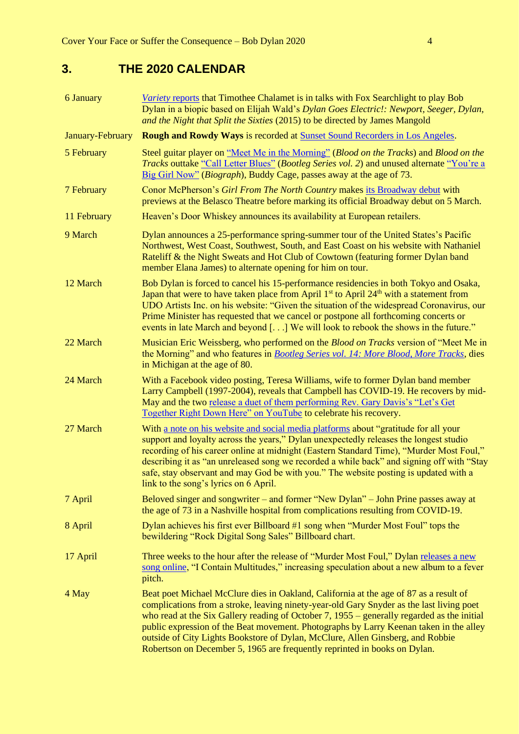## <span id="page-3-0"></span>**3. THE 2020 CALENDAR**

| <b>6 January</b> | Variety reports that Timothee Chalamet is in talks with Fox Searchlight to play Bob<br>Dylan in a biopic based on Elijah Wald's Dylan Goes Electric!: Newport, Seeger, Dylan,<br>and the Night that Split the Sixties (2015) to be directed by James Mangold                                                                                                                                                                                                                                                                               |  |
|------------------|--------------------------------------------------------------------------------------------------------------------------------------------------------------------------------------------------------------------------------------------------------------------------------------------------------------------------------------------------------------------------------------------------------------------------------------------------------------------------------------------------------------------------------------------|--|
| January-February | <b>Rough and Rowdy Ways is recorded at Sunset Sound Recorders in Los Angeles.</b>                                                                                                                                                                                                                                                                                                                                                                                                                                                          |  |
| 5 February       | Steel guitar player on "Meet Me in the Morning" (Blood on the Tracks) and Blood on the<br><i>Tracks</i> outtake "Call Letter Blues" (Bootleg Series vol. 2) and unused alternate "You're a<br>Big Girl Now" ( <i>Biograph</i> ), Buddy Cage, passes away at the age of 73.                                                                                                                                                                                                                                                                 |  |
| 7 February       | Conor McPherson's Girl From The North Country makes its Broadway debut with<br>previews at the Belasco Theatre before marking its official Broadway debut on 5 March.                                                                                                                                                                                                                                                                                                                                                                      |  |
| 11 February      | Heaven's Door Whiskey announces its availability at European retailers.                                                                                                                                                                                                                                                                                                                                                                                                                                                                    |  |
| 9 March          | Dylan announces a 25-performance spring-summer tour of the United States's Pacific<br>Northwest, West Coast, Southwest, South, and East Coast on his website with Nathaniel<br>Rateliff & the Night Sweats and Hot Club of Cowtown (featuring former Dylan band<br>member Elana James) to alternate opening for him on tour.                                                                                                                                                                                                               |  |
| 12 March         | Bob Dylan is forced to cancel his 15-performance residencies in both Tokyo and Osaka,<br>Japan that were to have taken place from April 1 <sup>st</sup> to April 24 <sup>th</sup> with a statement from<br>UDO Artists Inc. on his website: "Given the situation of the widespread Coronavirus, our<br>Prime Minister has requested that we cancel or postpone all forthcoming concerts or<br>events in late March and beyond [] We will look to rebook the shows in the future."                                                          |  |
| 22 March         | Musician Eric Weissberg, who performed on the <i>Blood on Tracks</i> version of "Meet Me in<br>the Morning" and who features in Bootleg Series vol. 14: More Blood, More Tracks, dies<br>in Michigan at the age of 80.                                                                                                                                                                                                                                                                                                                     |  |
| 24 March         | With a Facebook video posting, Teresa Williams, wife to former Dylan band member<br>Larry Campbell (1997-2004), reveals that Campbell has COVID-19. He recovers by mid-<br>May and the two release a duet of them performing Rev. Gary Davis's "Let's Get<br>Together Right Down Here" on YouTube to celebrate his recovery.                                                                                                                                                                                                               |  |
| 27 March         | With a note on his website and social media platforms about "gratitude for all your<br>support and loyalty across the years," Dylan unexpectedly releases the longest studio<br>recording of his career online at midnight (Eastern Standard Time), "Murder Most Foul,"<br>describing it as "an unreleased song we recorded a while back" and signing off with "Stay<br>safe, stay observant and may God be with you." The website posting is updated with a<br>link to the song's lyrics on 6 April.                                      |  |
| 7 April          | Beloved singer and songwriter – and former "New Dylan" – John Prine passes away at<br>the age of 73 in a Nashville hospital from complications resulting from COVID-19.                                                                                                                                                                                                                                                                                                                                                                    |  |
| 8 April          | Dylan achieves his first ever Billboard #1 song when "Murder Most Foul" tops the<br>bewildering "Rock Digital Song Sales" Billboard chart.                                                                                                                                                                                                                                                                                                                                                                                                 |  |
| 17 April         | Three weeks to the hour after the release of "Murder Most Foul," Dylan releases a new<br>song online, "I Contain Multitudes," increasing speculation about a new album to a fever<br>pitch.                                                                                                                                                                                                                                                                                                                                                |  |
| 4 May            | Beat poet Michael McClure dies in Oakland, California at the age of 87 as a result of<br>complications from a stroke, leaving ninety-year-old Gary Snyder as the last living poet<br>who read at the Six Gallery reading of October 7, $1955 -$ generally regarded as the initial<br>public expression of the Beat movement. Photographs by Larry Keenan taken in the alley<br>outside of City Lights Bookstore of Dylan, McClure, Allen Ginsberg, and Robbie<br>Robertson on December 5, 1965 are frequently reprinted in books on Dylan. |  |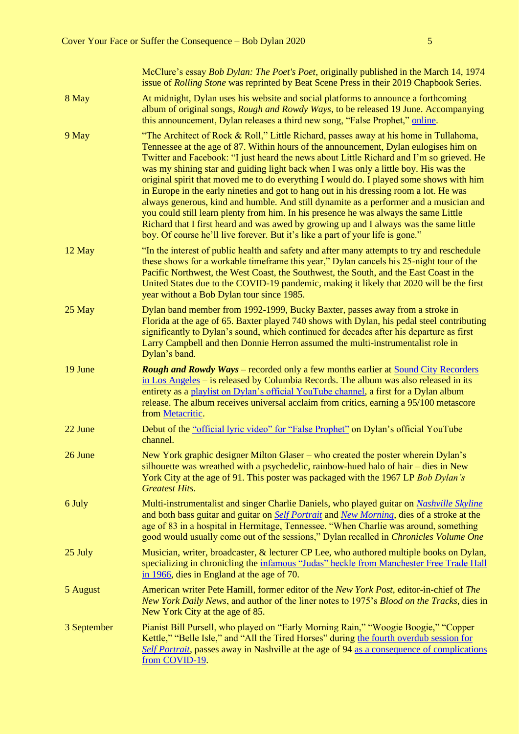McClure's essay *Bob Dylan: The Poet's Poet*, originally published in the March 14, 1974 issue of *Rolling Stone* was reprinted by Beat Scene Press in their 2019 Chapbook Series. 8 May **At midnight, Dylan uses his website and social platforms to announce a forthcoming** album of original songs, *Rough and Rowdy Ways*, to be released 19 June. Accompanying this announcement, Dylan releases a third new song, "False Prophet," [online.](https://www.bobdylan.com/news/false-prophet/) 9 May "The Architect of Rock & Roll," Little Richard, passes away at his home in Tullahoma, Tennessee at the age of 87. Within hours of the announcement, Dylan eulogises him on Twitter and Facebook: "I just heard the news about Little Richard and I'm so grieved. He was my shining star and guiding light back when I was only a little boy. His was the original spirit that moved me to do everything I would do. I played some shows with him in Europe in the early nineties and got to hang out in his dressing room a lot. He was always generous, kind and humble. And still dynamite as a performer and a musician and you could still learn plenty from him. In his presence he was always the same Little Richard that I first heard and was awed by growing up and I always was the same little boy. Of course he'll live forever. But it's like a part of your life is gone." 12 May "In the interest of public health and safety and after many attempts to try and reschedule these shows for a workable timeframe this year," Dylan cancels his 25-night tour of the Pacific Northwest, the West Coast, the Southwest, the South, and the East Coast in the United States due to the COVID-19 pandemic, making it likely that 2020 will be the first year without a Bob Dylan tour since 1985. 25 May Dylan band member from 1992-1999, Bucky Baxter, passes away from a stroke in Florida at the age of 65. Baxter played 740 shows with Dylan, his pedal steel contributing significantly to Dylan's sound, which continued for decades after his departure as first Larry Campbell and then Donnie Herron assumed the multi-instrumentalist role in Dylan's band. 19 June *Rough and Rowdy Ways* – recorded only a few months earlier at [Sound City Recorders](https://www.bjorner.com/DSN40510%20-%20Rough%20And%20Rowdy%20Ways.htm)  [in Los Angeles](https://www.bjorner.com/DSN40510%20-%20Rough%20And%20Rowdy%20Ways.htm) – is released by Columbia Records. The album was also released in its entirety as a [playlist on Dylan's official YouTube channel,](https://www.youtube.com/playlist?list=OLAK5uy_kqAopNs8YTdcVv-aTY0fBZqiEWI4jmtgI) a first for a Dylan album release. The album receives universal acclaim from critics, earning a 95/100 metascore from [Metacritic.](https://www.metacritic.com/music/rough-and-rowdy-ways/bob-dylan) 22 June Debut of th[e "official lyric video" for "False Prophet"](https://www.youtube.com/watch?v=aIF0gkqvaQ0&list=OLAK5uy_kqAopNs8YTdcVv-aTY0fBZqiEWI4jmtgI) on Dylan's official YouTube channel. 26 June New York graphic designer Milton Glaser – who created the poster wherein Dylan's silhouette was wreathed with a psychedelic, rainbow-hued halo of hair – dies in New York City at the age of 91. This poster was packaged with the 1967 LP *Bob Dylan's Greatest Hits*. 6 July Multi-instrumentalist and singer Charlie Daniels, who played guitar on *[Nashville Skyline](https://www.bjorner.com/DSN01679%201969.htm#DSN01680)* and both bass guitar and guitar on *[Self Portrait](https://www.bjorner.com/DSN01679%201969.htm#DSN01714)* and *[New Morning](https://www.bjorner.com/DSN01790%201970.htm#DSN01810)*, dies of a stroke at the age of 83 in a hospital in Hermitage, Tennessee. "When Charlie was around, something good would usually come out of the sessions," Dylan recalled in *Chronicles Volume One* 25 July Musician, writer, broadcaster, & lecturer CP Lee, who authored multiple books on Dylan, specializing in chronicling the [infamous "Judas" heckle from Manchester Free Trade Hall](https://www.bjorner.com/DSN01225%20(66).htm#DSN1510)  [in 1966,](https://www.bjorner.com/DSN01225%20(66).htm#DSN1510) dies in England at the age of 70. 5 August American writer Pete Hamill, former editor of the *New York Post*, editor-in-chief of *The New York Daily News*, and author of the liner notes to 1975's *Blood on the Tracks*, dies in New York City at the age of 85. 3 September Pianist Bill Pursell, who played on "Early Morning Rain," "Woogie Boogie," "Copper Kettle," "Belle Isle," and "All the Tired Horses" during [the fourth overdub session for](https://www.bjorner.com/DSN01790%201970.htm#DSN01804)  *[Self Portrait](https://www.bjorner.com/DSN01790%201970.htm#DSN01804)*, passes away in Nashville at the age of 9[4 as a consequence of complications](https://www.latimes.com/obituaries/story/2020-09-05/william-pursell-grammy-nominated-composer-dies-covid19)  [from COVID-19.](https://www.latimes.com/obituaries/story/2020-09-05/william-pursell-grammy-nominated-composer-dies-covid19)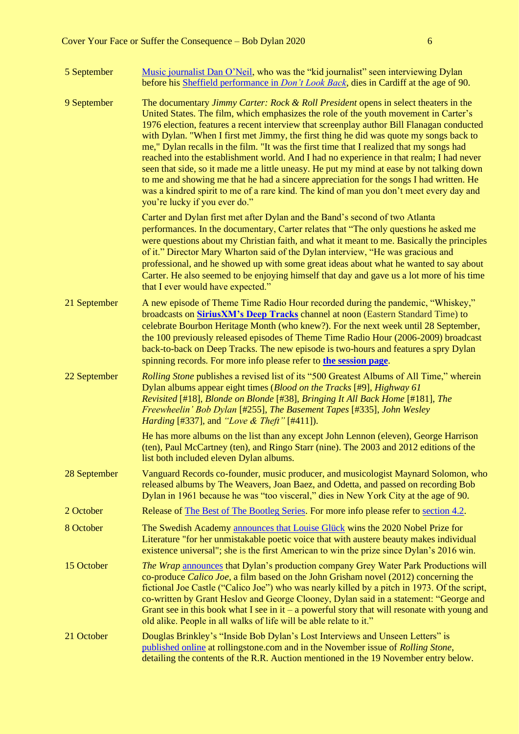| 5 September  | Music journalist Dan O'Neil, who was the "kid journalist" seen interviewing Dylan<br>before his Sheffield performance in <i>Don't Look Back</i> , dies in Cardiff at the age of 90.                                                                                                                                                                                                                                                                                                                                                                                                                                                                                                                                                                                                                                                                                            |
|--------------|--------------------------------------------------------------------------------------------------------------------------------------------------------------------------------------------------------------------------------------------------------------------------------------------------------------------------------------------------------------------------------------------------------------------------------------------------------------------------------------------------------------------------------------------------------------------------------------------------------------------------------------------------------------------------------------------------------------------------------------------------------------------------------------------------------------------------------------------------------------------------------|
| 9 September  | The documentary Jimmy Carter: Rock & Roll President opens in select theaters in the<br>United States. The film, which emphasizes the role of the youth movement in Carter's<br>1976 election, features a recent interview that screenplay author Bill Flanagan conducted<br>with Dylan. "When I first met Jimmy, the first thing he did was quote my songs back to<br>me," Dylan recalls in the film. "It was the first time that I realized that my songs had<br>reached into the establishment world. And I had no experience in that realm; I had never<br>seen that side, so it made me a little uneasy. He put my mind at ease by not talking down<br>to me and showing me that he had a sincere appreciation for the songs I had written. He<br>was a kindred spirit to me of a rare kind. The kind of man you don't meet every day and<br>you're lucky if you ever do." |
|              | Carter and Dylan first met after Dylan and the Band's second of two Atlanta<br>performances. In the documentary, Carter relates that "The only questions he asked me<br>were questions about my Christian faith, and what it meant to me. Basically the principles<br>of it." Director Mary Wharton said of the Dylan interview, "He was gracious and<br>professional, and he showed up with some great ideas about what he wanted to say about<br>Carter. He also seemed to be enjoying himself that day and gave us a lot more of his time<br>that I ever would have expected."                                                                                                                                                                                                                                                                                              |
| 21 September | A new episode of Theme Time Radio Hour recorded during the pandemic, "Whiskey,"<br>broadcasts on <b>SiriusXM's Deep Tracks</b> channel at noon (Eastern Standard Time) to<br>celebrate Bourbon Heritage Month (who knew?). For the next week until 28 September,<br>the 100 previously released episodes of Theme Time Radio Hour (2006-2009) broadcast<br>back-to-back on Deep Tracks. The new episode is two-hours and features a spry Dylan<br>spinning records. For more info please refer to the session page.                                                                                                                                                                                                                                                                                                                                                            |
| 22 September | <i>Rolling Stone</i> publishes a revised list of its "500 Greatest Albums of All Time," wherein<br>Dylan albums appear eight times (Blood on the Tracks [#9], Highway 61<br>Revisited [#18], Blonde on Blonde [#38], Bringing It All Back Home [#181], The<br>Freewheelin' Bob Dylan [#255], The Basement Tapes [#335], John Wesley<br><i>Harding</i> [#337], and " <i>Love &amp; Theft</i> " [#411]).                                                                                                                                                                                                                                                                                                                                                                                                                                                                         |
|              | He has more albums on the list than any except John Lennon (eleven), George Harrison<br>(ten), Paul McCartney (ten), and Ringo Starr (nine). The 2003 and 2012 editions of the<br>list both included eleven Dylan albums.                                                                                                                                                                                                                                                                                                                                                                                                                                                                                                                                                                                                                                                      |
| 28 September | Vanguard Records co-founder, music producer, and musicologist Maynard Solomon, who<br>released albums by The Weavers, Joan Baez, and Odetta, and passed on recording Bob<br>Dylan in 1961 because he was "too visceral," dies in New York City at the age of 90.                                                                                                                                                                                                                                                                                                                                                                                                                                                                                                                                                                                                               |
| 2 October    | Release of The Best of The Bootleg Series. For more info please refer to section 4.2.                                                                                                                                                                                                                                                                                                                                                                                                                                                                                                                                                                                                                                                                                                                                                                                          |
| 8 October    | The Swedish Academy announces that Louise Glück wins the 2020 Nobel Prize for<br>Literature "for her unmistakable poetic voice that with austere beauty makes individual<br>existence universal"; she is the first American to win the prize since Dylan's 2016 win.                                                                                                                                                                                                                                                                                                                                                                                                                                                                                                                                                                                                           |
| 15 October   | The Wrap announces that Dylan's production company Grey Water Park Productions will<br>co-produce Calico Joe, a film based on the John Grisham novel (2012) concerning the<br>fictional Joe Castle ("Calico Joe") who was nearly killed by a pitch in 1973. Of the script,<br>co-written by Grant Heslov and George Clooney, Dylan said in a statement: "George and<br>Grant see in this book what I see in it $-$ a powerful story that will resonate with young and<br>old alike. People in all walks of life will be able relate to it."                                                                                                                                                                                                                                                                                                                                    |
| 21 October   | Douglas Brinkley's "Inside Bob Dylan's Lost Interviews and Unseen Letters" is<br>published online at rollingstone.com and in the November issue of Rolling Stone,<br>detailing the contents of the R.R. Auction mentioned in the 19 November entry below.                                                                                                                                                                                                                                                                                                                                                                                                                                                                                                                                                                                                                      |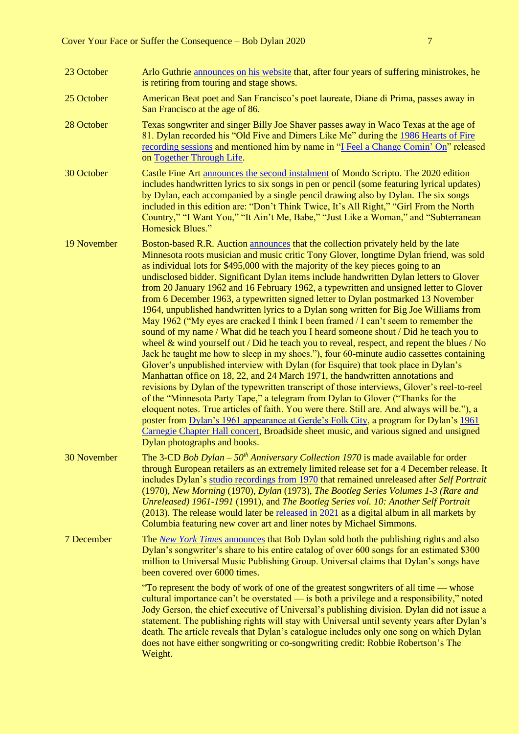| 23 October  | Arlo Guthrie announces on his website that, after four years of suffering ministrokes, he<br>is retiring from touring and stage shows.                                                                                                                                                                                                                                                                                                                                                                                                                                                                                                                                                                                                                                                                                                                                                                                                                                                                                                                                                                                                                                                                                                                                                                                                                                                                                                                                                                                                                                                                                                                                                        |
|-------------|-----------------------------------------------------------------------------------------------------------------------------------------------------------------------------------------------------------------------------------------------------------------------------------------------------------------------------------------------------------------------------------------------------------------------------------------------------------------------------------------------------------------------------------------------------------------------------------------------------------------------------------------------------------------------------------------------------------------------------------------------------------------------------------------------------------------------------------------------------------------------------------------------------------------------------------------------------------------------------------------------------------------------------------------------------------------------------------------------------------------------------------------------------------------------------------------------------------------------------------------------------------------------------------------------------------------------------------------------------------------------------------------------------------------------------------------------------------------------------------------------------------------------------------------------------------------------------------------------------------------------------------------------------------------------------------------------|
| 25 October  | American Beat poet and San Francisco's poet laureate, Diane di Prima, passes away in<br>San Francisco at the age of 86.                                                                                                                                                                                                                                                                                                                                                                                                                                                                                                                                                                                                                                                                                                                                                                                                                                                                                                                                                                                                                                                                                                                                                                                                                                                                                                                                                                                                                                                                                                                                                                       |
| 28 October  | Texas songwriter and singer Billy Joe Shaver passes away in Waco Texas at the age of<br>81. Dylan recorded his "Old Five and Dimers Like Me" during the 1986 Hearts of Fire<br>recording sessions and mentioned him by name in "I Feel a Change Comin' On" released<br>on Together Through Life.                                                                                                                                                                                                                                                                                                                                                                                                                                                                                                                                                                                                                                                                                                                                                                                                                                                                                                                                                                                                                                                                                                                                                                                                                                                                                                                                                                                              |
| 30 October  | Castle Fine Art announces the second instalment of Mondo Scripto. The 2020 edition<br>includes handwritten lyrics to six songs in pen or pencil (some featuring lyrical updates)<br>by Dylan, each accompanied by a single pencil drawing also by Dylan. The six songs<br>included in this edition are: "Don't Think Twice, It's All Right," "Girl From the North<br>Country," "I Want You," "It Ain't Me, Babe," "Just Like a Woman," and "Subterranean<br><b>Homesick Blues."</b>                                                                                                                                                                                                                                                                                                                                                                                                                                                                                                                                                                                                                                                                                                                                                                                                                                                                                                                                                                                                                                                                                                                                                                                                           |
| 19 November | Boston-based R.R. Auction announces that the collection privately held by the late<br>Minnesota roots musician and music critic Tony Glover, longtime Dylan friend, was sold<br>as individual lots for \$495,000 with the majority of the key pieces going to an<br>undisclosed bidder. Significant Dylan items include handwritten Dylan letters to Glover<br>from 20 January 1962 and 16 February 1962, a typewritten and unsigned letter to Glover<br>from 6 December 1963, a typewritten signed letter to Dylan postmarked 13 November<br>1964, unpublished handwritten lyrics to a Dylan song written for Big Joe Williams from<br>May 1962 ("My eyes are cracked I think I been framed $\ell$ can't seem to remember the<br>sound of my name / What did he teach you I heard someone shout / Did he teach you to<br>wheel $\&$ wind yourself out / Did he teach you to reveal, respect, and repent the blues / No<br>Jack he taught me how to sleep in my shoes."), four 60-minute audio cassettes containing<br>Glover's unpublished interview with Dylan (for Esquire) that took place in Dylan's<br>Manhattan office on 18, 22, and 24 March 1971, the handwritten annotations and<br>revisions by Dylan of the typewritten transcript of those interviews, Glover's reel-to-reel<br>of the "Minnesota Party Tape," a telegram from Dylan to Glover ("Thanks for the<br>eloquent notes. True articles of faith. You were there. Still are. And always will be."), a<br>poster from Dylan's 1961 appearance at Gerde's Folk City, a program for Dylan's 1961<br>Carnegie Chapter Hall concert, Broadside sheet music, and various signed and unsigned<br>Dylan photographs and books. |
| 30 November | The 3-CD Bob Dylan – $50th$ Anniversary Collection 1970 is made available for order<br>through European retailers as an extremely limited release set for a 4 December release. It<br>includes Dylan's studio recordings from 1970 that remained unreleased after Self Portrait<br>(1970), New Morning (1970), Dylan (1973), The Bootleg Series Volumes 1-3 (Rare and<br>Unreleased) 1961-1991 (1991), and The Bootleg Series vol. 10: Another Self Portrait<br>(2013). The release would later be released in 2021 as a digital album in all markets by<br>Columbia featuring new cover art and liner notes by Michael Simmons.                                                                                                                                                                                                                                                                                                                                                                                                                                                                                                                                                                                                                                                                                                                                                                                                                                                                                                                                                                                                                                                              |
| 7 December  | The New York Times announces that Bob Dylan sold both the publishing rights and also<br>Dylan's songwriter's share to his entire catalog of over 600 songs for an estimated \$300<br>million to Universal Music Publishing Group. Universal claims that Dylan's songs have<br>been covered over 6000 times.                                                                                                                                                                                                                                                                                                                                                                                                                                                                                                                                                                                                                                                                                                                                                                                                                                                                                                                                                                                                                                                                                                                                                                                                                                                                                                                                                                                   |
|             | "To represent the body of work of one of the greatest songwriters of all time — whose<br>cultural importance can't be overstated — is both a privilege and a responsibility," noted<br>Jody Gerson, the chief executive of Universal's publishing division. Dylan did not issue a<br>statement. The publishing rights will stay with Universal until seventy years after Dylan's<br>death. The article reveals that Dylan's catalogue includes only one song on which Dylan<br>does not have either songwriting or co-songwriting credit: Robbie Robertson's The<br>Weight.                                                                                                                                                                                                                                                                                                                                                                                                                                                                                                                                                                                                                                                                                                                                                                                                                                                                                                                                                                                                                                                                                                                   |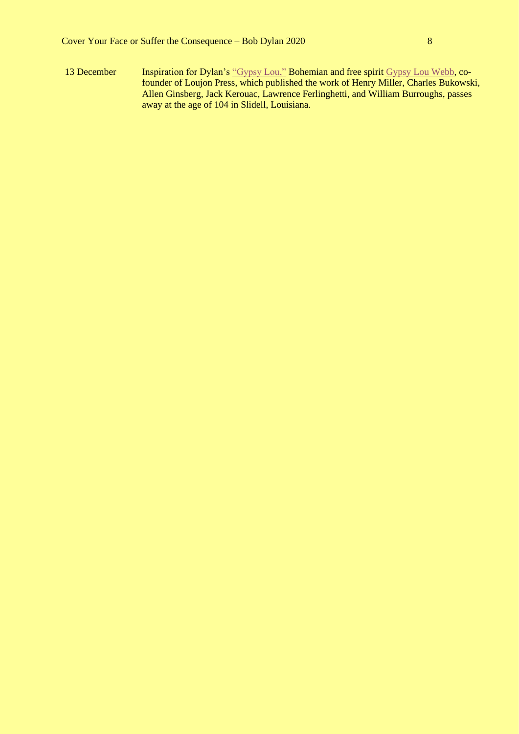13 December Inspiration for Dylan's ["Gypsy Lou,"](https://www.bjorner.com/DSN00340%201963.htm#DSN00555) Bohemian and free spirit [Gypsy Lou Webb,](https://www.bayoubrief.com/2020/12/16/obituary-new-orleans-publishing-pioneer-louise-gypsy-lou-webb-passes-on-at-104/) cofounder of Loujon Press, which published the work of Henry Miller, Charles Bukowski, Allen Ginsberg, Jack Kerouac, Lawrence Ferlinghetti, and William Burroughs, passes away at the age of 104 in Slidell, Louisiana.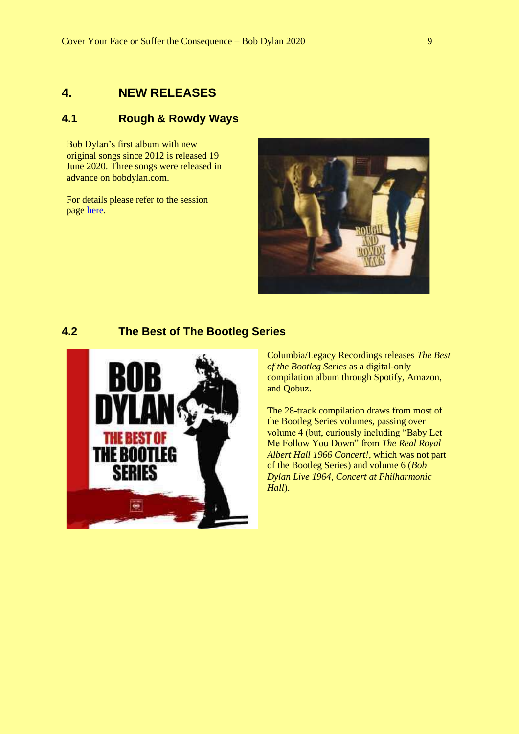## <span id="page-8-0"></span>**4. NEW RELEASES**

## <span id="page-8-1"></span>**4.1 Rough & Rowdy Ways**

Bob Dylan's first album with new original songs since 2012 is released 19 June 2020. Three songs were released in advance on bobdylan.com.

For details please refer to the session page [here.](https://www.bjorner.com/DSN40510%20-%20Rough%20And%20Rowdy%20Ways.htm)



### <span id="page-8-2"></span>**4.2 The Best of The Bootleg Series**



[Columbia/Legacy Recordings releases](https://theseconddisc.com/2020/10/05/digital-round-up-bob-dylan-collects-rarities-on-best-of-the-bootleg-series-releases-new-episode-of-theme-time-radio-hour/) *The Best of the Bootleg Series* as a digital-only compilation album through Spotify, Amazon, and Qobuz.

The 28-track compilation draws from most of the Bootleg Series volumes, passing over volume 4 (but, curiously including "Baby Let Me Follow You Down" from *The Real Royal Albert Hall 1966 Concert!*, which was not part of the Bootleg Series) and volume 6 (*Bob Dylan Live 1964, Concert at Philharmonic Hall*).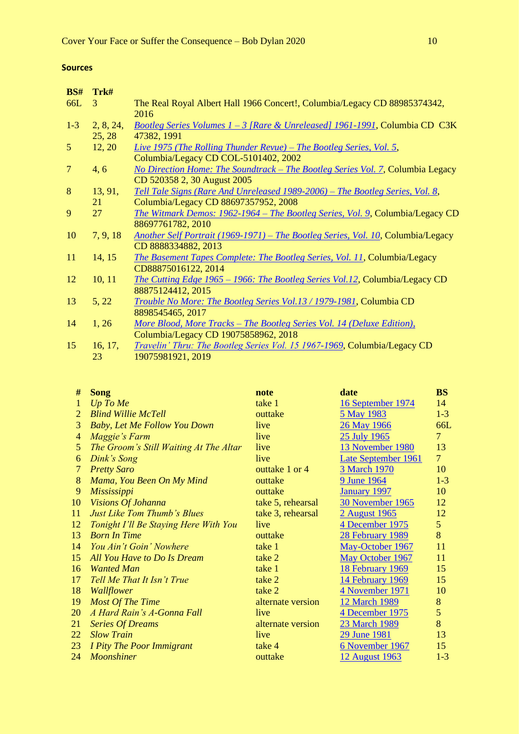#### **Sources**

| BS#            | Trk#      |                                                                                  |
|----------------|-----------|----------------------------------------------------------------------------------|
| 66L            | 3         | The Real Royal Albert Hall 1966 Concert!, Columbia/Legacy CD 88985374342,        |
|                |           | 2016                                                                             |
| $1-3$          | 2, 8, 24, | Bootleg Series Volumes 1 - 3 [Rare & Unreleased] 1961-1991, Columbia CD C3K      |
|                | 25, 28    | 47382, 1991                                                                      |
| 5 <sup>5</sup> | 12, 20    | Live 1975 (The Rolling Thunder Revue) – The Bootleg Series, Vol. 5,              |
|                |           | Columbia/Legacy CD COL-5101402, 2002                                             |
| $\overline{7}$ | 4, 6      | No Direction Home: The Soundtrack - The Bootleg Series Vol. 7, Columbia Legacy   |
|                |           | CD 520358 2, 30 August 2005                                                      |
| 8              | 13, 91,   | Tell Tale Signs (Rare And Unreleased 1989-2006) - The Bootleg Series, Vol. 8,    |
|                | 21        | Columbia/Legacy CD 88697357952, 2008                                             |
| 9              | 27        | The Witmark Demos: 1962-1964 – The Bootleg Series, Vol. 9, Columbia/Legacy CD    |
|                |           | 88697761782, 2010                                                                |
| 10             | 7, 9, 18  | Another Self Portrait (1969-1971) – The Bootleg Series, Vol. 10, Columbia/Legacy |
|                |           | CD 8888334882, 2013                                                              |
| 11             | 14, 15    | The Basement Tapes Complete: The Bootleg Series, Vol. 11, Columbia/Legacy        |
|                |           | CD88875016122, 2014                                                              |
| 12             | 10, 11    | The Cutting Edge 1965 - 1966: The Bootleg Series Vol.12, Columbia/Legacy CD      |
|                |           | 88875124412, 2015                                                                |
| 13             | 5, 22     | Trouble No More: The Bootleg Series Vol.13 / 1979-1981, Columbia CD              |
|                |           | 8898545465, 2017                                                                 |
| 14             | 1, 26     | More Blood, More Tracks - The Bootleg Series Vol. 14 (Deluxe Edition),           |
|                |           | Columbia/Legacy CD 19075858962, 2018                                             |
| 15             | 16, 17,   | Travelin' Thru: The Bootleg Series Vol. 15 1967-1969, Columbia/Legacy CD         |
|                | 23        | 19075981921, 2019                                                                |

| #  | <b>Song</b>                            | note              | date                     | <b>BS</b>      |
|----|----------------------------------------|-------------------|--------------------------|----------------|
| 1  | $Up$ To Me                             | take 1            | <u>16 September 1974</u> | 14             |
| 2  | <b>Blind Willie McTell</b>             | outtake           | 5 May 1983               | $1-3$          |
| 3  | <b>Baby, Let Me Follow You Down</b>    | live              | <u>26 May 1966</u>       | 66L            |
| 4  | Maggie's Farm                          | live              | 25 July 1965             | $\overline{7}$ |
| 5  | The Groom's Still Waiting At The Altar | live              | 13 November 1980         | 13             |
| 6  | Dink's Song                            | live              | Late September 1961      | 7 <sup>1</sup> |
| 7  | <b>Pretty Saro</b>                     | outtake 1 or 4    | <b>3 March 1970</b>      | 10             |
| 8  | Mama, You Been On My Mind              | outtake           | 9 June 1964              | $1 - 3$        |
| 9  | Mississippi                            | outtake           | <b>January 1997</b>      | 10             |
| 10 | Visions Of Johanna                     | take 5, rehearsal | 30 November 1965         | 12             |
| 11 | <b>Just Like Tom Thumb's Blues</b>     | take 3, rehearsal | 2 August 1965            | 12             |
| 12 | Tonight I'll Be Staying Here With You  | live              | 4 December 1975          | 5 <sup>5</sup> |
| 13 | <b>Born In Time</b>                    | outtake           | <b>28 February 1989</b>  | 8              |
| 14 | You Ain't Goin' Nowhere                | take 1            | May-October 1967         | 11             |
| 15 | All You Have to Do Is Dream            | take 2            | May October 1967         | 11             |
| 16 | <b>Wanted Man</b>                      | take 1            | 18 February 1969         | 15             |
| 17 | Tell Me That It Isn't True             | take 2            | 14 February 1969         | 15             |
| 18 | <i>Wallflower</i>                      | take 2            | 4 November 1971          | 10             |
| 19 | <b>Most Of The Time</b>                | alternate version | 12 March 1989            | $8\,$          |
| 20 | A Hard Rain's A-Gonna Fall             | live              | 4 December 1975          | 5              |
| 21 | <b>Series Of Dreams</b>                | alternate version | 23 March 1989            | 8              |
| 22 | <b>Slow Train</b>                      | live              | 29 June 1981             | 13             |
| 23 | I Pity The Poor Immigrant              | take 4            | 6 November 1967          | 15             |
| 24 | <b>Moonshiner</b>                      | outtake           | 12 August 1963           | $1 - 3$        |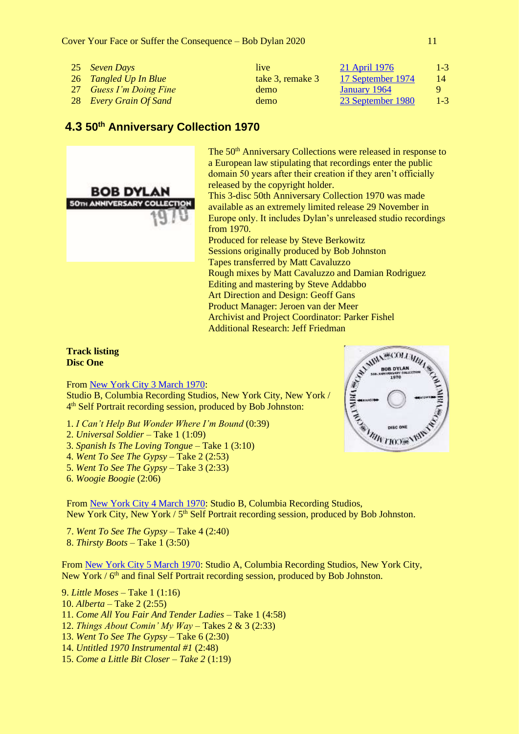Cover Your Face or Suffer the Consequence – Bob Dylan 2020 11

| 25 Seven Days           | live             | 21 April 1976     | $1 - 3$      |
|-------------------------|------------------|-------------------|--------------|
| 26 Tangled Up In Blue   | take 3, remake 3 | 17 September 1974 | 14           |
| 27 Guess I'm Doing Fine | demo             | January 1964      | $\mathbf{Q}$ |
| 28 Every Grain Of Sand  | demo             | 23 September 1980 | $1 - 3$      |

## <span id="page-10-0"></span>**4.3 50th Anniversary Collection 1970**



The 50<sup>th</sup> Anniversary Collections were released in response to a European law stipulating that recordings enter the public domain 50 years after their creation if they aren't officially released by the copyright holder. This 3-disc 50th Anniversary Collection 1970 was made available as an extremely limited release 29 November in Europe only. It includes Dylan's unreleased studio recordings from 1970. Produced for release by Steve Berkowitz Sessions originally produced by Bob Johnston Tapes transferred by Matt Cavaluzzo Rough mixes by Matt Cavaluzzo and Damian Rodriguez Editing and mastering by Steve Addabbo Art Direction and Design: Geoff Gans Product Manager: Jeroen van der Meer Archivist and Project Coordinator: Parker Fishel Additional Research: Jeff Friedman

**Track listing Disc One**

From [New York City 3 March 1970:](https://www.bjorner.com/DSN01790%201970.htm#DSN01790)

Studio B, Columbia Recording Studios, New York City, New York / 4<sup>th</sup> Self Portrait recording session, produced by Bob Johnston:

- 1. *I Can't Help But Wonder Where I'm Bound* (0:39)
- 2. *Universal Soldier* Take 1 (1:09)
- 3. *Spanish Is The Loving Tongue* Take 1 (3:10)
- 4. *Went To See The Gypsy* Take 2 (2:53)
- 5. *Went To See The Gypsy* Take 3 (2:33)
- 6. *Woogie Boogie* (2:06)

From [New York City 4 March 1970:](https://www.bjorner.com/DSN01790%201970.htm#DSN01795) Studio B, Columbia Recording Studios, New York City, New York / 5<sup>th</sup> Self Portrait recording session, produced by Bob Johnston.

7. *Went To See The Gypsy* – Take 4 (2:40) 8. *Thirsty Boots* – Take 1 (3:50)

From [New York City 5 March 1970:](https://www.bjorner.com/DSN01790%201970.htm#DSN01800) Studio A, Columbia Recording Studios, New York City, New York / 6<sup>th</sup> and final Self Portrait recording session, produced by Bob Johnston.

9. *Little Moses* – Take 1 (1:16) 10. *Alberta* – Take 2 (2:55) 11. *Come All You Fair And Tender Ladies* – Take 1 (4:58) 12. *Things About Comin' My Way* – Takes 2 & 3 (2:33) 13. *Went To See The Gypsy* – Take 6 (2:30) 14. *Untitled 1970 Instrumental #1* (2:48)

15. *Come a Little Bit Closer – Take 2* (1:19)

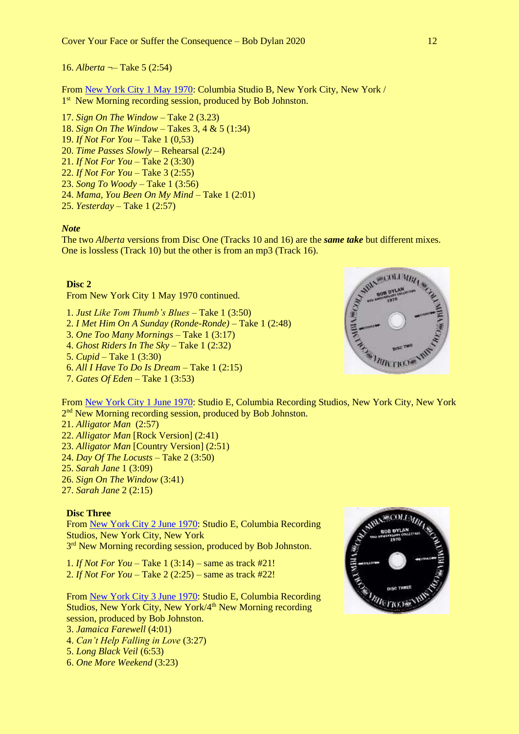16. *Alberta* ¬– Take 5 (2:54)

From [New York City 1 May 1970:](https://www.bjorner.com/DSN01790%201970.htm#DSN01810) Columbia Studio B, New York City, New York / 1<sup>st</sup> New Morning recording session, produced by Bob Johnston.

- 17. *Sign On The Window* Take 2 (3.23)
- 18. *Sign On The Window* Takes 3, 4 & 5 (1:34)
- 19. *If Not For You* Take 1 (0,53)

20. *Time Passes Slowly* – Rehearsal (2:24)

- 21. *If Not For You* Take 2 (3:30)
- 22. *If Not For You* Take 3 (2:55)
- 23. *Song To Woody* Take 1 (3:56)
- 24. *Mama, You Been On My Mind* Take 1 (2:01)
- 25. *Yesterday* Take 1 (2:57)

#### *Note*

The two *Alberta* versions from Disc One (Tracks 10 and 16) are the *same take* but different mixes. One is lossless (Track 10) but the other is from an mp3 (Track 16).

#### **Disc 2**

From New York City 1 May 1970 continued.

- 1. *Just Like Tom Thumb's Blues* Take 1 (3:50)
- 2. *I Met Him On A Sunday (Ronde-Ronde)* Take 1 (2:48)
- 3. *One Too Many Mornings* Take 1 (3:17)
- 4. *Ghost Riders In The Sky* Take 1 (2:32)
- 5. *Cupid* Take 1 (3:30)
- 6. *All I Have To Do Is Dream* Take 1 (2:15)
- 7. *Gates Of Eden* Take 1 (3:53)

From [New York City 1 June 1970:](https://www.bjorner.com/DSN01790%201970.htm#DSN01831) Studio E, Columbia Recording Studios, New York City, New York 2<sup>nd</sup> New Morning recording session, produced by Bob Johnston.

- 21. *Alligator Man* (2:57)
- 22. *Alligator Man* [Rock Version] (2:41)
- 23. *Alligator Man* [Country Version] (2:51)
- 24. *Day Of The Locusts* Take 2 (3:50)
- 25. *Sarah Jane* 1 (3:09)
- 26. *Sign On The Window* (3:41)
- 27. *Sarah Jane* 2 (2:15)

#### **Disc Three**

From [New York City 2 June 1970:](https://www.bjorner.com/DSN01790%201970.htm#DSN01832) Studio E, Columbia Recording Studios, New York City, New York

3<sup>rd</sup> New Morning recording session, produced by Bob Johnston.

1. *If Not For You* – Take 1 (3:14) – same as track #21! 2. *If Not For You* – Take 2 (2:25) – same as track #22!

From [New York City 3 June 1970:](https://www.bjorner.com/DSN01790%201970.htm#DSN01833) Studio E, Columbia Recording Studios, New York City, New York/4<sup>th</sup> New Morning recording session, produced by Bob Johnston.

- 3. *Jamaica Farewell* (4:01)
- 4. *Can't Help Falling in Love* (3:27)
- 5. *Long Black Veil* (6:53)
- 6. *One More Weekend* (3:23)



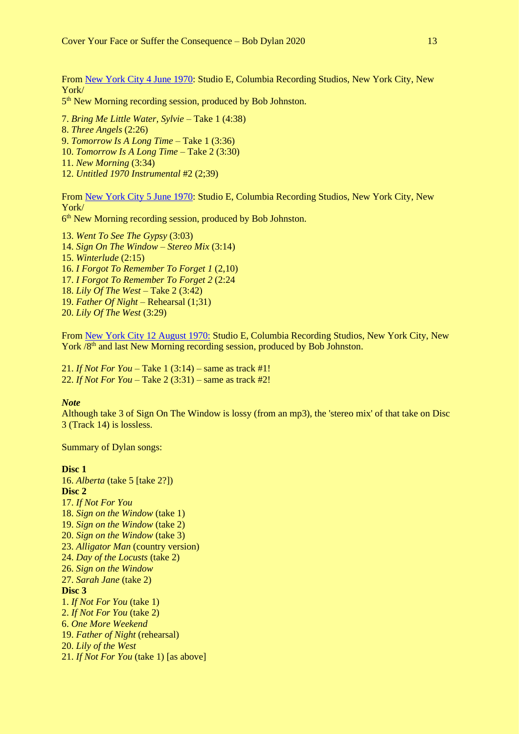From [New York City 4 June 1970:](https://www.bjorner.com/DSN01790%201970.htm#DSN01834) Studio E, Columbia Recording Studios, New York City, New York/

5<sup>th</sup> New Morning recording session, produced by Bob Johnston.

7. *Bring Me Little Water, Sylvie* – Take 1 (4:38)

8. *Three Angels* (2:26)

9. *Tomorrow Is A Long Time* – Take 1 (3:36)

- 10. *Tomorrow Is A Long Time* Take 2 (3:30)
- 11. *New Morning* (3:34)
- 12. *Untitled 1970 Instrumental* #2 (2;39)

From [New York City 5 June 1970:](https://www.bjorner.com/DSN01790%201970.htm#DSN01835) Studio E, Columbia Recording Studios, New York City, New York/

6<sup>th</sup> New Morning recording session, produced by Bob Johnston.

13. *Went To See The Gypsy* (3:03) 14. *Sign On The Window – Stereo Mix* (3:14) 15. *Winterlude* (2:15) 16. *I Forgot To Remember To Forget 1* (2,10) 17. *I Forgot To Remember To Forget 2* (2:24 18. *Lily Of The West* – Take 2 (3:42) 19. *Father Of Night* – Rehearsal (1;31) 20. *Lily Of The West* (3:29)

From [New York City 12 August 1970:](https://www.bjorner.com/DSN01790%201970.htm#DSN01864) Studio E, Columbia Recording Studios, New York City, New York /8<sup>th</sup> and last New Morning recording session, produced by Bob Johnston.

21. *If Not For You* – Take 1 (3:14) – same as track #1! 22. *If Not For You* – Take 2 (3:31) – same as track #2!

#### *Note*

Although take 3 of Sign On The Window is lossy (from an mp3), the 'stereo mix' of that take on Disc 3 (Track 14) is lossless.

Summary of Dylan songs:

#### **Disc 1**

16. *Alberta* (take 5 [take 2?]) **Disc 2** 17. *If Not For You* 18. *Sign on the Window* (take 1) 19. *Sign on the Window* (take 2) 20. *Sign on the Window* (take 3) 23. *Alligator Man* (country version) 24. *Day of the Locusts* (take 2) 26. *Sign on the Window* 27. *Sarah Jane* (take 2) **Disc 3** 1. *If Not For You* (take 1) 2. *If Not For You* (take 2) 6. *One More Weekend* 19. *Father of Night* (rehearsal) 20. *Lily of the West* 21. *If Not For You* (take 1) [as above]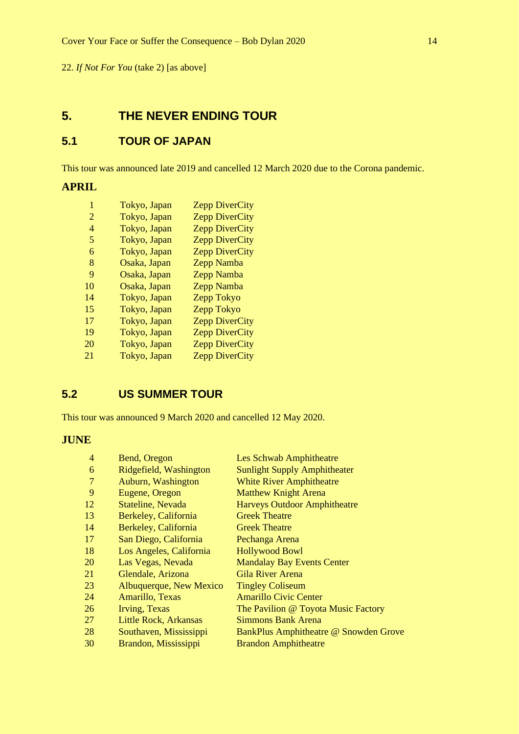22. *If Not For You* (take 2) [as above]

## <span id="page-13-0"></span>**5. THE NEVER ENDING TOUR**

## <span id="page-13-1"></span>**5.1 TOUR OF JAPAN**

This tour was announced late 2019 and cancelled 12 March 2020 due to the Corona pandemic.

## **APRIL**

| 1  | Tokyo, Japan | <b>Zepp DiverCity</b> |
|----|--------------|-----------------------|
| 2  | Tokyo, Japan | <b>Zepp DiverCity</b> |
| 4  | Tokyo, Japan | <b>Zepp DiverCity</b> |
| 5  | Tokyo, Japan | <b>Zepp DiverCity</b> |
| 6  | Tokyo, Japan | <b>Zepp DiverCity</b> |
| 8  | Osaka, Japan | Zepp Namba            |
| 9  | Osaka, Japan | Zepp Namba            |
| 10 | Osaka, Japan | Zepp Namba            |
| 14 | Tokyo, Japan | Zepp Tokyo            |
| 15 | Tokyo, Japan | <b>Zepp Tokyo</b>     |
| 17 | Tokyo, Japan | <b>Zepp DiverCity</b> |
| 19 | Tokyo, Japan | <b>Zepp DiverCity</b> |
| 20 | Tokyo, Japan | <b>Zepp DiverCity</b> |
| 21 | Tokyo, Japan | <b>Zepp DiverCity</b> |
|    |              |                       |

## <span id="page-13-2"></span>**5.2 US SUMMER TOUR**

This tour was announced 9 March 2020 and cancelled 12 May 2020.

## **JUNE**

| $\overline{4}$ | Bend, Oregon            | Les Schwab Amphitheatre               |
|----------------|-------------------------|---------------------------------------|
| 6              | Ridgefield, Washington  | <b>Sunlight Supply Amphitheater</b>   |
| $\overline{7}$ | Auburn, Washington      | <b>White River Amphitheatre</b>       |
| 9              | Eugene, Oregon          | <b>Matthew Knight Arena</b>           |
| 12             | Stateline, Nevada       | <b>Harveys Outdoor Amphitheatre</b>   |
| 13             | Berkeley, California    | <b>Greek Theatre</b>                  |
| 14             | Berkeley, California    | <b>Greek Theatre</b>                  |
| 17             | San Diego, California   | Pechanga Arena                        |
| 18             | Los Angeles, California | <b>Hollywood Bowl</b>                 |
| 20             | Las Vegas, Nevada       | <b>Mandalay Bay Events Center</b>     |
| 21             | Glendale, Arizona       | <b>Gila River Arena</b>               |
| 23             | Albuquerque, New Mexico | <b>Tingley Coliseum</b>               |
| 24             | Amarillo, Texas         | <b>Amarillo Civic Center</b>          |
| 26             | Irving, Texas           | The Pavilion @ Toyota Music Factory   |
| 27             | Little Rock, Arkansas   | <b>Simmons Bank Arena</b>             |
| 28             | Southaven, Mississippi  | BankPlus Amphitheatre @ Snowden Grove |
| 30             | Brandon, Mississippi    | <b>Brandon Amphitheatre</b>           |
|                |                         |                                       |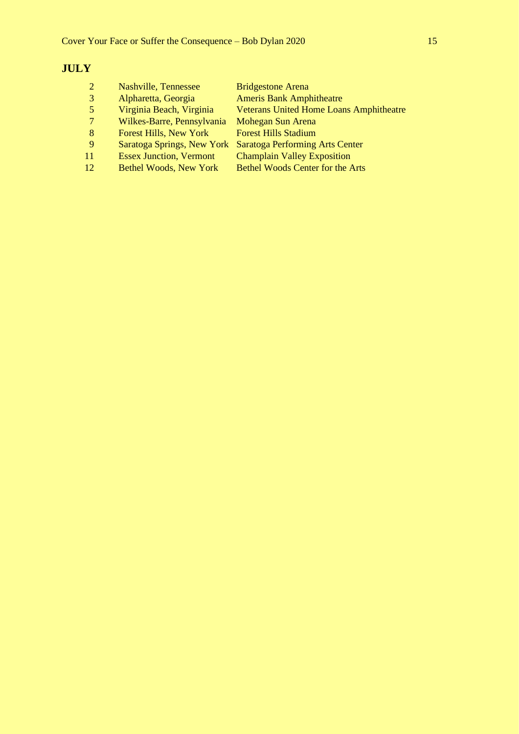## **JULY**

| $\mathcal{D}_{\cdot}$ | Nashville, Tennessee           | <b>Bridgestone Arena</b>                       |
|-----------------------|--------------------------------|------------------------------------------------|
| 3                     | Alpharetta, Georgia            | <b>Ameris Bank Amphitheatre</b>                |
| 5                     | Virginia Beach, Virginia       | <b>Veterans United Home Loans Amphitheatre</b> |
| 7                     | Wilkes-Barre, Pennsylvania     | Mohegan Sun Arena                              |
| 8                     | <b>Forest Hills, New York</b>  | <b>Forest Hills Stadium</b>                    |
| <sup>9</sup>          | Saratoga Springs, New York     | Saratoga Performing Arts Center                |
| 11                    | <b>Essex Junction, Vermont</b> | <b>Champlain Valley Exposition</b>             |
| 12                    | <b>Bethel Woods, New York</b>  | <b>Bethel Woods Center for the Arts</b>        |
|                       |                                |                                                |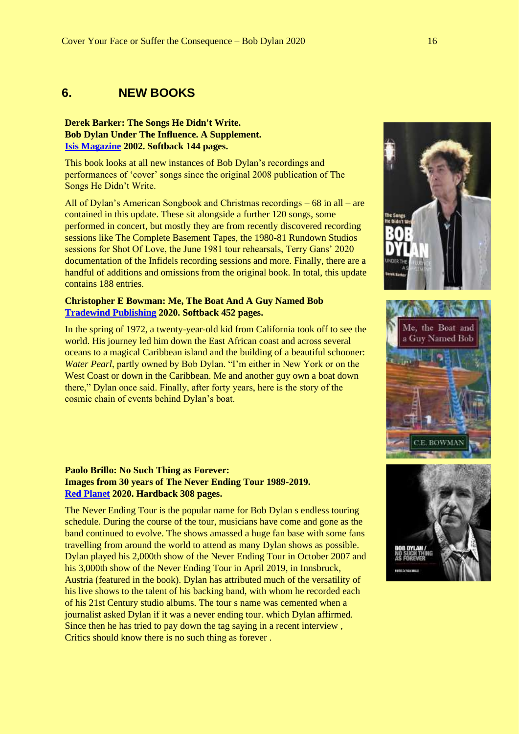## <span id="page-15-0"></span>**6. NEW BOOKS**

#### **Derek Barker: The Songs He Didn't Write. Bob Dylan Under The Influence. A Supplement. [Isis Magazine](https://www.bobdylanisis.com/product/songs-he-didnt-write-supplement/) 2002. Softback 144 pages.**

This book looks at all new instances of Bob Dylan's recordings and performances of 'cover' songs since the original 2008 publication of The Songs He Didn't Write.

All of Dylan's American Songbook and Christmas recordings – 68 in all – are contained in this update. These sit alongside a further 120 songs, some performed in concert, but mostly they are from recently discovered recording sessions like The Complete Basement Tapes, the 1980-81 Rundown Studios sessions for Shot Of Love, the June 1981 tour rehearsals, Terry Gans' 2020 documentation of the Infidels recording sessions and more. Finally, there are a handful of additions and omissions from the original book. In total, this update contains 188 entries.

#### **Christopher E Bowman: Me, The Boat And A Guy Named Bob [Tradewind Publishing](http://tradewindpublishing.com/index.html) 2020. Softback 452 pages.**

In the spring of 1972, a twenty-year-old kid from California took off to see the world. His journey led him down the East African coast and across several oceans to a magical Caribbean island and the building of a beautiful schooner: *Water Pearl*, partly owned by Bob Dylan. "I'm either in New York or on the West Coast or down in the Caribbean. Me and another guy own a boat down there," Dylan once said. Finally, after forty years, here is the story of the cosmic chain of events behind Dylan's boat.



The Never Ending Tour is the popular name for Bob Dylan s endless touring schedule. During the course of the tour, musicians have come and gone as the band continued to evolve. The shows amassed a huge fan base with some fans travelling from around the world to attend as many Dylan shows as possible. Dylan played his 2,000th show of the Never Ending Tour in October 2007 and his 3,000th show of the Never Ending Tour in April 2019, in Innsbruck, Austria (featured in the book). Dylan has attributed much of the versatility of his live shows to the talent of his backing band, with whom he recorded each of his 21st Century studio albums. The tour s name was cemented when a journalist asked Dylan if it was a never ending tour. which Dylan affirmed. Since then he has tried to pay down the tag saying in a recent interview , Critics should know there is no such thing as forever .





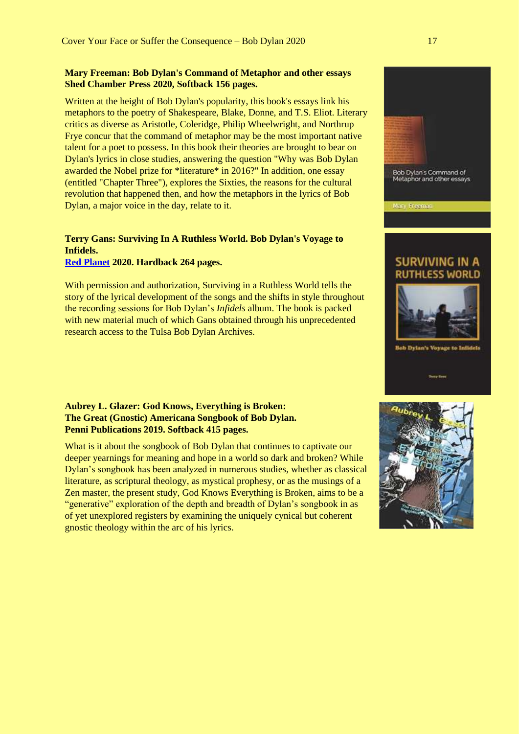#### **Mary Freeman: Bob Dylan's Command of Metaphor and other essays Shed Chamber Press 2020, Softback 156 pages.**

Written at the height of Bob Dylan's popularity, this book's essays link his metaphors to the poetry of Shakespeare, Blake, Donne, and T.S. Eliot. Literary critics as diverse as Aristotle, Coleridge, Philip Wheelwright, and Northrup Frye concur that the command of metaphor may be the most important native talent for a poet to possess. In this book their theories are brought to bear on Dylan's lyrics in close studies, answering the question "Why was Bob Dylan awarded the Nobel prize for \*literature\* in 2016?" In addition, one essay (entitled "Chapter Three"), explores the Sixties, the reasons for the cultural revolution that happened then, and how the metaphors in the lyrics of Bob Dylan, a major voice in the day, relate to it.

### **Terry Gans: Surviving In A Ruthless World. Bob Dylan's Voyage to Infidels.**

**[Red Planet](https://www.bobdylanisis.com/product/surviving-in-a-ruthless-world-bob-dylans-voyage-to-infidels/) 2020. Hardback 264 pages.**

With permission and authorization, Surviving in a Ruthless World tells the story of the lyrical development of the songs and the shifts in style throughout the recording sessions for Bob Dylan's *Infidels* album. The book is packed with new material much of which Gans obtained through his unprecedented research access to the Tulsa Bob Dylan Archives.

#### **Aubrey L. Glazer: God Knows, Everything is Broken: The Great (Gnostic) Americana Songbook of Bob Dylan. Penni Publications 2019. Softback 415 pages.**

What is it about the songbook of Bob Dylan that continues to captivate our deeper yearnings for meaning and hope in a world so dark and broken? While Dylan's songbook has been analyzed in numerous studies, whether as classical literature, as scriptural theology, as mystical prophesy, or as the musings of a Zen master, the present study, God Knows Everything is Broken, aims to be a "generative" exploration of the depth and breadth of Dylan's songbook in as of yet unexplored registers by examining the uniquely cynical but coherent gnostic theology within the arc of his lyrics.



Bob Dylan's Command of<br>Metaphor and other essays

SURVIVING IN A **RUTHLESS WORLD** 

**Bob Dylan's Voyage to Infle** 

Mary Freeman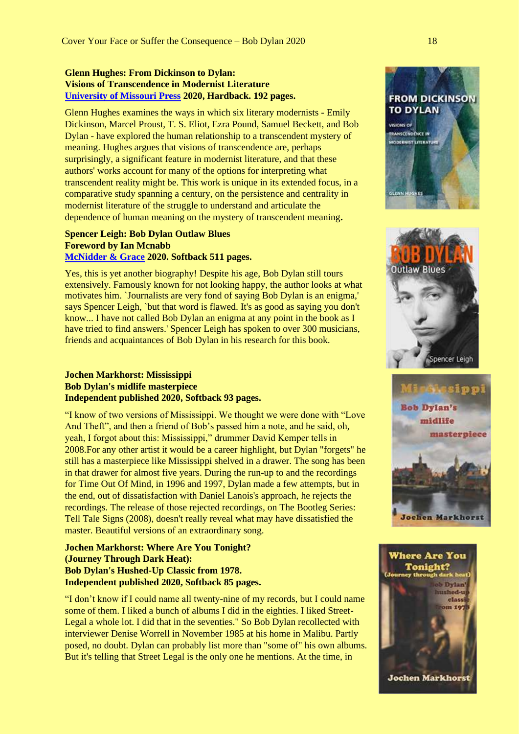#### **Glenn Hughes: From Dickinson to Dylan: Visions of Transcendence in Modernist Literature [University of Missouri Press](https://upress.missouri.edu/) 2020, Hardback. 192 pages.**

Glenn Hughes examines the ways in which six literary modernists - Emily Dickinson, Marcel Proust, T. S. Eliot, Ezra Pound, Samuel Beckett, and Bob Dylan - have explored the human relationship to a transcendent mystery of meaning. Hughes argues that visions of transcendence are, perhaps surprisingly, a significant feature in modernist literature, and that these authors' works account for many of the options for interpreting what transcendent reality might be. This work is unique in its extended focus, in a comparative study spanning a century, on the persistence and centrality in modernist literature of the struggle to understand and articulate the dependence of human meaning on the mystery of transcendent meaning**.**

#### **Spencer Leigh: Bob Dylan Outlaw Blues Foreword by Ian Mcnabb [McNidder & Grace](https://mcnidderandgrace.com/) 2020. Softback 511 pages.**

Yes, this is yet another biography! Despite his age, Bob Dylan still tours extensively. Famously known for not looking happy, the author looks at what motivates him. `Journalists are very fond of saying Bob Dylan is an enigma,' says Spencer Leigh, `but that word is flawed. It's as good as saying you don't know... I have not called Bob Dylan an enigma at any point in the book as I have tried to find answers.' Spencer Leigh has spoken to over 300 musicians, friends and acquaintances of Bob Dylan in his research for this book.

#### **Jochen Markhorst: Mississippi Bob Dylan's midlife masterpiece Independent published 2020, Softback 93 pages.**

"I know of two versions of Mississippi. We thought we were done with "Love And Theft", and then a friend of Bob's passed him a note, and he said, oh, yeah, I forgot about this: Mississippi," drummer David Kemper tells in 2008.For any other artist it would be a career highlight, but Dylan "forgets" he still has a masterpiece like Mississippi shelved in a drawer. The song has been in that drawer for almost five years. During the run-up to and the recordings for Time Out Of Mind, in 1996 and 1997, Dylan made a few attempts, but in the end, out of dissatisfaction with Daniel Lanois's approach, he rejects the recordings. The release of those rejected recordings, on The Bootleg Series: Tell Tale Signs (2008), doesn't really reveal what may have dissatisfied the master. Beautiful versions of an extraordinary song.

#### **Jochen Markhorst: Where Are You Tonight? (Journey Through Dark Heat): Bob Dylan's Hushed-Up Classic from 1978. Independent published 2020, Softback 85 pages.**

"I don't know if I could name all twenty-nine of my records, but I could name some of them. I liked a bunch of albums I did in the eighties. I liked Street-Legal a whole lot. I did that in the seventies." So Bob Dylan recollected with interviewer Denise Worrell in November 1985 at his home in Malibu. Partly posed, no doubt. Dylan can probably list more than "some of" his own albums. But it's telling that Street Legal is the only one he mentions. At the time, in







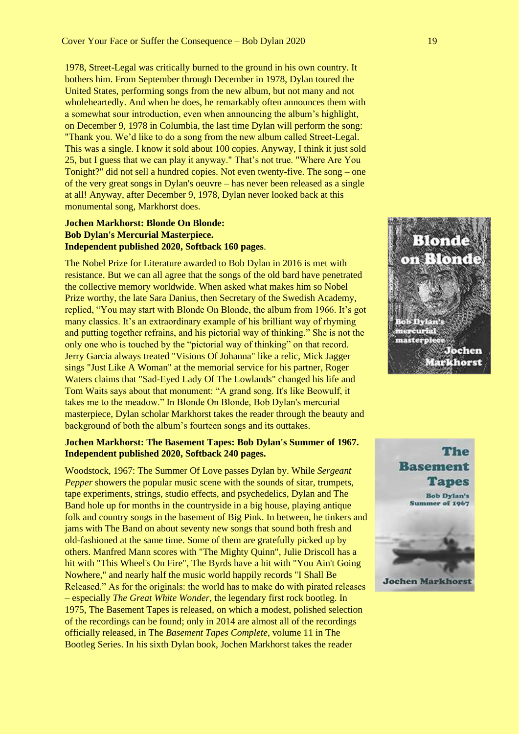1978, Street-Legal was critically burned to the ground in his own country. It bothers him. From September through December in 1978, Dylan toured the United States, performing songs from the new album, but not many and not wholeheartedly. And when he does, he remarkably often announces them with a somewhat sour introduction, even when announcing the album's highlight, on December 9, 1978 in Columbia, the last time Dylan will perform the song: "Thank you. We'd like to do a song from the new album called Street-Legal. This was a single. I know it sold about 100 copies. Anyway, I think it just sold 25, but I guess that we can play it anyway." That's not true. "Where Are You Tonight?" did not sell a hundred copies. Not even twenty-five. The song – one of the very great songs in Dylan's oeuvre – has never been released as a single at all! Anyway, after December 9, 1978, Dylan never looked back at this monumental song, Markhorst does.

#### **Jochen Markhorst: Blonde On Blonde: Bob Dylan's Mercurial Masterpiece. Independent published 2020, Softback 160 pages**.

The Nobel Prize for Literature awarded to Bob Dylan in 2016 is met with resistance. But we can all agree that the songs of the old bard have penetrated the collective memory worldwide. When asked what makes him so Nobel Prize worthy, the late Sara Danius, then Secretary of the Swedish Academy, replied, "You may start with Blonde On Blonde, the album from 1966. It's got many classics. It's an extraordinary example of his brilliant way of rhyming and putting together refrains, and his pictorial way of thinking." She is not the only one who is touched by the "pictorial way of thinking" on that record. Jerry Garcia always treated "Visions Of Johanna" like a relic, Mick Jagger sings "Just Like A Woman" at the memorial service for his partner, Roger Waters claims that "Sad-Eyed Lady Of The Lowlands" changed his life and Tom Waits says about that monument: "A grand song. It's like Beowulf, it takes me to the meadow." In Blonde On Blonde, Bob Dylan's mercurial masterpiece, Dylan scholar Markhorst takes the reader through the beauty and background of both the album's fourteen songs and its outtakes.

#### **Jochen Markhorst: The Basement Tapes: Bob Dylan's Summer of 1967. Independent published 2020, Softback 240 pages.**

Woodstock, 1967: The Summer Of Love passes Dylan by. While *Sergeant Pepper* showers the popular music scene with the sounds of sitar, trumpets, tape experiments, strings, studio effects, and psychedelics, Dylan and The Band hole up for months in the countryside in a big house, playing antique folk and country songs in the basement of Big Pink. In between, he tinkers and jams with The Band on about seventy new songs that sound both fresh and old-fashioned at the same time. Some of them are gratefully picked up by others. Manfred Mann scores with "The Mighty Quinn", Julie Driscoll has a hit with "This Wheel's On Fire", The Byrds have a hit with "You Ain't Going Nowhere," and nearly half the music world happily records "I Shall Be Released." As for the originals: the world has to make do with pirated releases – especially *The Great White Wonder*, the legendary first rock bootleg. In 1975, The Basement Tapes is released, on which a modest, polished selection of the recordings can be found; only in 2014 are almost all of the recordings officially released, in The *Basement Tapes Complete*, volume 11 in The Bootleg Series. In his sixth Dylan book, Jochen Markhorst takes the reader



**Basement Tapes Bob Dylan's** Summer of 1967

The

**Jochen Markhorst**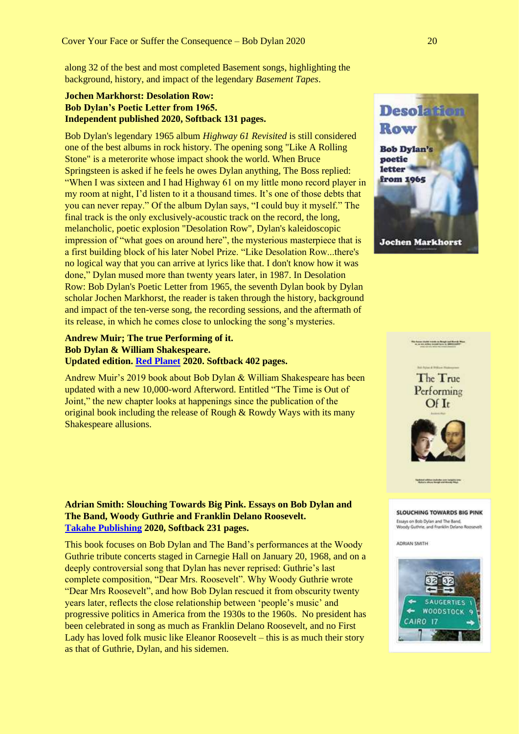along 32 of the best and most completed Basement songs, highlighting the background, history, and impact of the legendary *Basement Tapes*.

#### **Jochen Markhorst: Desolation Row: Bob Dylan's Poetic Letter from 1965. Independent published 2020, Softback 131 pages.**

Bob Dylan's legendary 1965 album *Highway 61 Revisited* is still considered one of the best albums in rock history. The opening song "Like A Rolling Stone" is a meterorite whose impact shook the world. When Bruce Springsteen is asked if he feels he owes Dylan anything, The Boss replied: "When I was sixteen and I had Highway 61 on my little mono record player in my room at night, I'd listen to it a thousand times. It's one of those debts that you can never repay." Of the album Dylan says, "I could buy it myself." The final track is the only exclusively-acoustic track on the record, the long, melancholic, poetic explosion "Desolation Row", Dylan's kaleidoscopic impression of "what goes on around here", the mysterious masterpiece that is a first building block of his later Nobel Prize. "Like Desolation Row...there's no logical way that you can arrive at lyrics like that. I don't know how it was done," Dylan mused more than twenty years later, in 1987. In Desolation Row: Bob Dylan's Poetic Letter from 1965, the seventh Dylan book by Dylan scholar Jochen Markhorst, the reader is taken through the history, background and impact of the ten-verse song, the recording sessions, and the aftermath of its release, in which he comes close to unlocking the song's mysteries.

#### **Andrew Muir; The true Performing of it. Bob Dylan & William Shakespeare. Updated edition. [Red Planet](https://www.bobdylanisis.com/product/the-true-performing-of-it-dylan-shakespeare-updated/) 2020. Softback 402 pages.**

Andrew Muir's 2019 book about Bob Dylan & William Shakespeare has been updated with a new 10,000-word Afterword. Entitled "The Time is Out of Joint," the new chapter looks at happenings since the publication of the original book including the release of Rough & Rowdy Ways with its many Shakespeare allusions.

#### **Adrian Smith: Slouching Towards Big Pink. Essays on Bob Dylan and The Band, Woody Guthrie and Franklin Delano Roosevelt. [Takahe Publishing](http://www.takahepublishing.co.uk/) 2020, Softback 231 pages.**

This book focuses on Bob Dylan and The Band's performances at the Woody Guthrie tribute concerts staged in Carnegie Hall on January 20, 1968, and on a deeply controversial song that Dylan has never reprised: Guthrie's last complete composition, "Dear Mrs. Roosevelt". Why Woody Guthrie wrote "Dear Mrs Roosevelt", and how Bob Dylan rescued it from obscurity twenty years later, reflects the close relationship between 'people's music' and progressive politics in America from the 1930s to the 1960s. No president has been celebrated in song as much as Franklin Delano Roosevelt, and no First Lady has loved folk music like Eleanor Roosevelt – this is as much their story as that of Guthrie, Dylan, and his sidemen.







#### SLOUCHING TOWARDS BIG PINK Essays on Bob Dylan and The Band,<br>Woody Guthrie, and Franklin Delano I

ADRIAN SMITH